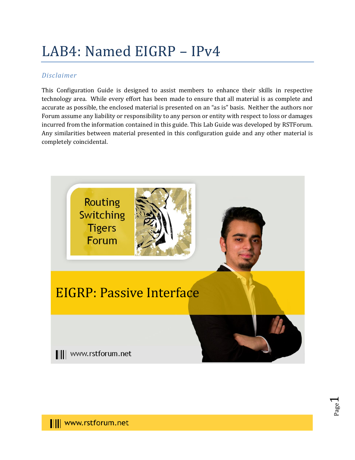# LAB4: Named EIGRP – IPv4

## *Disclaimer*

This Configuration Guide is designed to assist members to enhance their skills in respective technology area. While every effort has been made to ensure that all material is as complete and accurate as possible, the enclosed material is presented on an "as is" basis. Neither the authors nor Forum assume any liability or responsibility to any person or entity with respect to loss or damages incurred from the information contained in this guide. This Lab Guide was developed by RSTForum. Any similarities between material presented in this configuration guide and any other material is completely coincidental.



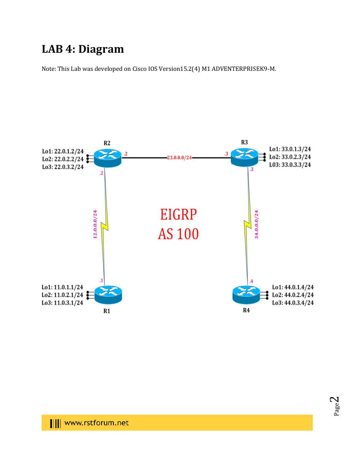# **LAB 4: Diagram**

Note: This Lab was developed on Cisco IOS Version15.2(4) M1 ADVENTERPRISEK9-M.



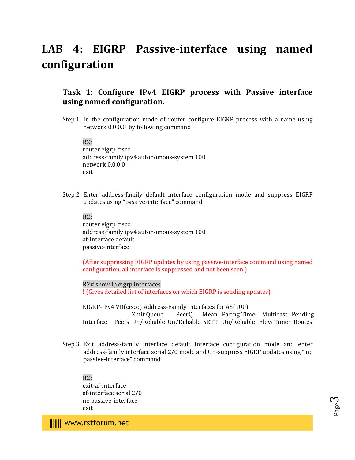# **LAB 4: EIGRP Passive-interface using named configuration**

## **Task 1: Configure IPv4 EIGRP process with Passive interface using named configuration.**

Step 1 In the configuration mode of router configure EIGRP process with a name using network 0.0.0.0 by following command

 $R2:$ 

router eigrp cisco address-family ipv4 autonomous-system 100 network 0.0.0.0 exit

Step 2 Enter address-family default interface configuration mode and suppress EIGRP updates using "passive-interface" command

R2:

router eigrp cisco address-family ipv4 autonomous-system 100 af-interface default passive-interface

(After suppressing EIGRP updates by using passive-interface command using named configuration, all interface is suppressed and not been seen.)

R2# show ip eigrp interfaces ! (Gives detailed list of interfaces on which EIGRP is sending updates)

EIGRP-IPv4 VR(cisco) Address-Family Interfaces for AS(100) Xmit Queue PeerQ Mean Pacing Time Multicast Pending Interface Peers Un/Reliable Un/Reliable SRTT Un/Reliable Flow Timer Routes

Step 3 Exit address-family interface default interface configuration mode and enter address-family interface serial 2/0 mode and Un-suppress EIGRP updates using " no passive-interface" command

 $R2:$ 

exit-af-interface af-interface serial 2/0 no passive-interface exit

Page ო

III www.rstforum.net